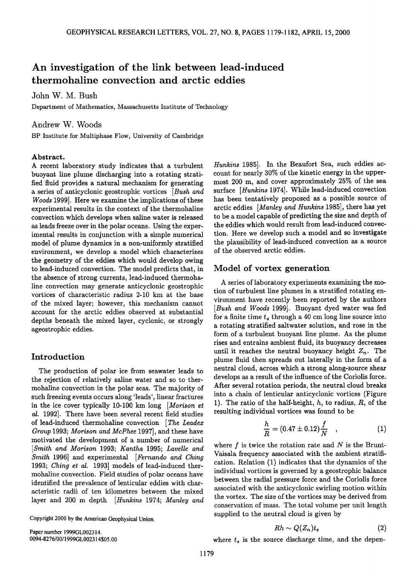# **An investigation of the link between lead-induced thermohaline convection and arctic eddies**

## **John W. M. Bush**

**Department of Mathematics, Massachusetts Institute of Technology** 

#### **Andrew W. Woods**

**BP Institute for Multiphase Flow, University of Cambridge** 

#### **Abstract.**

**A recent laboratory study indicates that a turbulent buoyant line plume discharging into a rotating stratified fluid provides a natural mechanism for generating a series of anticyclonic geostrophic vortices [Bush and Woods 1999]. Here we examine the implications of these experimental results in the context of the thermohaline convection which develops when saline water is released as leads freeze over in the polar oceans. Using the experimental results in conjunction with a simple numerical model of plume dynamics in a non-uniformly stratified environment, we develop a model which characterizes the geometry of the eddies which would develop owing to lead-induced convection. The model predicts that, in the absence of strong currents, lead-induced thermohaline convection may generate anticyclonic geostrophic vortices of characteristic radius 2-10 km at the base of the mixed layer; however, this mechanism cannot account for the arctic eddies observed at substantial depths beneath the mixed layer, cyclonic, or strongly ageostrophic eddies.** 

#### **Introduction**

**The production of polar ice from seawater leads to the rejection of relatively saline water and so to thermohaline convection in the polar seas. The majority of such freezing events occurs along 'leads', linear fractures in the ice cover typically 10-100 km long [Morison et al. 1992]. There have been several recent field studies of lead-induced thermohaline convection [The Leadex Group 1993; Morison and McPhee 1997], and these have motivated the development of a number of numerical [Smith and Morison 1993; Kantha 1995; Lavelle and Smith 1996] and experimental [Fernando and Ching 1993; Ching et al. 1993] models of lead-induced thermohaline convection. Field studies of polar oceans have identified the prevalence of lenticular eddies with characteristic radii of ten kilometres between the mixed layer and 200 m depth [Hunkins 1974; Manley and** 

**Paper number 1999GL002314. 0094-8276/00/1999GL002314505.00** 

**Hunkins 1985]. In the Beaufort Sea, such eddies account for nearly 30% of the kinetic energy in the uppermost 200 m, and cover approximately 25% of the sea surface [Hunkins 1974]. While lead-induced convection has been tentatively proposed as a possible source of arctic eddies [Manley and Hunkins 1985], there has yet to be a model capable of predicting the size and depth of the eddies which would result from lead-induced convection. Here we develop such a model and so investigate the plausibility of lead-induced convection as a source of the observed arctic eddies.** 

# **Model of vortex generation**

**A series of laboratory experiments examining the motion of turbulent line plumes in a stratified rotating environment have recently been reported by the authors [Bush and Woods 1999]. Buoyant dyed water was fed**  for a finite time  $t_s$  through a 40 cm long line source into **a rotating stratified saltwater solution, and rose in the form of a turbulent buoyant line plume. As the plume rises and entrains ambient fluid, its buoyancy decreases**  until it reaches the neutral buoyancy height  $Z_n$ . The **plume fluid then spreads out laterally in the form of a neutral cloud, across which a strong along-source shear develops as a result of the influence of the Coriolis force. After several rotation periods, the neutral cloud breaks into a chain of lenticular anticyclonic vortices (Figure 1). The ratio of the half-height, h, to radius, R, of the resulting individual vortices was found to be** 

$$
\frac{h}{R} = (0.47 \pm 0.12) \frac{f}{N} \quad , \tag{1}
$$

**where f is twice the rotation rate and N is the Brunt-Vaisala frequency associated with the ambient stratification. Relation (1) indicates that the dynamics of the individual vortices is governed by a geostrophic balance between the radial pressure force and the Coriolis force associated with the anticyclonic swirling motion within the vortex. The size of the vortices may be derived from conservation of mass. The total volume per unit length supplied to the neutral cloud is given by** 

$$
Rh \sim Q(Z_n)t_s \tag{2}
$$

where  $t_s$  is the source discharge time, and the depen-

**Copyright 2000 by the American Geophysical Union.**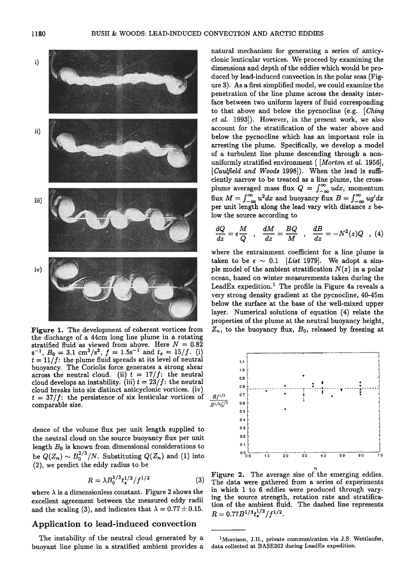

Figure 1. The development of coherent vortices from the discharge of a 44cm long line plume in a rotating stratified fluid as viewed from above. Here  $N = 0.82$ <br>s<sup>-1</sup>,  $B_0 = 3.1 \text{ cm}^3/\text{s}^3$ ,  $f = 1.5\text{s}^{-1}$  and  $t_s = 15/f$ . (i)<br> $t = 11/f$ : the plume fluid spreads at its level of neutral buoyancy. The Coriolis force generates a strong shear across the neutral cloud. (ii)  $t = 17/f$ : the neutral cloud develops an instability. (iii)  $t = 23/f$ : the neutral cloud breaks into six distinct anticyclonic vortices. (iv)  $t = 37/f$ : the persistence of six lenticular vortices of comparable size.

dence of the volume flux per unit length supplied to the neutral cloud on the source buoyancy flux per unit length  $B_0$  is known from dimensional considerations to be  $Q(Z_n) \sim B_0^{2/3}/N$ . Substituting  $Q(Z_n)$  and (1) into  $(2)$ , we predict the eddy radius to be

$$
R = \lambda B_0^{1/3} t_s^{1/2} / f^{1/2} \tag{3}
$$

where  $\lambda$  is a dimensionless constant. Figure 2 shows the excellent agreement between the measured eddy radii and the scaling (3), and indicates that  $\lambda = 0.77 \pm 0.15$ .

## Application to lead-induced convection

The instability of the neutral cloud generated by a buoyant line plume in a stratified ambient provides a natural mechanism for generating a series of anticyclonic lenticular vortices. We proceed by examining the dimensions and depth of the eddies which would be produced by lead-induced convection in the polar seas (Figure 3). As a first simplified model, we could examine the penetration of the line plume across the density interface between two uniform layers of fluid corresponding to that above and below the pycnocline (e.g. [Ching *et al.* 1993]). However, in the present work, we also account for the stratification of the water above and below the pycnocline which has an important role in arresting the plume. Specifically, we develop a model of a turbulent line plume descending through a nonuniformly stratified environment (*Morton et al.* 1956), [Caulfield and Woods 1998]). When the lead is sufficiently narrow to be treated as a line plume, the crossplume averaged mass flux  $Q = \int_{-\infty}^{\infty} u dx$ , momentum flux  $M = \int_{-\infty}^{\infty} u^2 dx$  and buoyancy flux  $B = \int_{-\infty}^{\infty} ug' dx$ <br>per unit length along the lead vary with distance z below the source according to

$$
\frac{dQ}{dz} = \epsilon \frac{M}{Q} \quad , \quad \frac{dM}{dz} = \frac{BQ}{M} \quad , \quad \frac{dB}{dz} = -N^2(z)Q \quad , \tag{4}
$$

where the entrainment coefficient for a line plume is taken to be  $\epsilon \sim 0.1$  [List 1979]. We adopt a simple model of the ambient stratification  $N(z)$  in a polar ocean, based on winter measurements taken during the LeadEx expedition.<sup>1</sup> The profile in Figure 4a reveals a very strong density gradient at the pycnocline, 40-45m below the surface at the base of the well-mixed upper layer. Numerical solutions of equation (4) relate the properties of the plume at the neutral buoyancy height,  $Z_n$ , to the buoyancy flux,  $B_0$ , released by freezing at



Figure 2. The average size of the emerging eddies. The data were gathered from a series of experiments in which 1 to 6 eddies were produced through varying the source strength, rotation rate and stratification of the ambient fluid. The dashed line represents  $R = 0.77B^{1/3}t_s^{1/2}/f^{1/2}.$ 

<sup>&</sup>lt;sup>1</sup>Morrison, J.H., private communication via J.S. Wettlaufer, data collected at BASE302 during LeadEx expedition.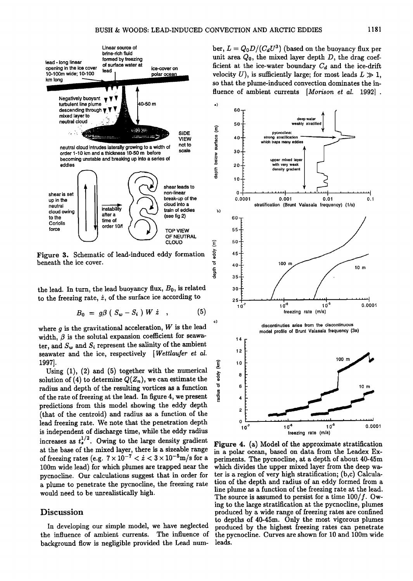

**Figure 3.** Schematic of lead-induced eddy formation beneath the ice cover. **beneath the ice cover.** 

the lead. In turn, the lead buoyancy flux,  $B_0$ , is related to the freezing rate,  $\dot{z}$ , of the surface ice according to

$$
B_0 = g\beta \left( S_w - S_i \right) W \dot{z} \quad , \tag{5}
$$

**where g is the gravitational acceleration, W is the lead**  width,  $\beta$  is the solutal expansion coefficient for seawater, and  $S_w$  and  $S_i$  represent the salinity of the ambient **seawater and the ice, respectively [Wettlaufer et al. 1997].** 

Using (1), (2) and (5) together with the numerical<br>
lution of (4) to determine  $Q(Z_n)$ , we can estimate the solution of (4) to determine  $Q(Z_n)$ , we can estimate the **radius and depth of the resulting vortices as a function of the rate of freezing at the lead. In figure 4, we present predictions from this model showing the eddy depth (that of the centroid) and radius as a function of the lead freezing rate. We note that the penetration depth**  is independent of discharge time, while the eddy radius increases as  $t_n^{1/2}$ . Owing to the large density gradient increases as  $t_s$ . Owing to the large density gradient Figure 4. (a) Model of the approximate stratification at the base of the mixed layer, there is a sizeable range in a polar ocean, based on data from the Leadex Exat the base of the mixed layer, there is a sizeable range in a polar ocean, based on data from the Leadex Ex-<br>of freezing rates (e.g.  $7 \times 10^{-7} < \dot{z} < 3 \times 10^{-5}$ m/s for a periments. The pycnocline, at a depth of about 40 **100m wide lead) for which plumes are trapped near the which divides the upper mixed layer from the deep wapycnocline. Our calculations suggest that in order for ter is a region of very high stratification; (b,c) Calcula-**

the influence of ambient currents. The influence of the py<br>hackground flow is negligible provided the Lead num-leads. background flow is negligible provided the Lead num-

ber,  $L = Q_0 D / (C_d U^3)$  (based on the buoyancy flux per unit area  $Q_0$ , the mixed layer depth  $D$ , the drag coefficient at the ice-water boundary  $C_d$  and the ice-drift velocity U), is sufficiently large; for most leads  $L \gg 1$ , **so that the plume-induced convection dominates the influence of ambient currents [Morison et al. 1992] .** 



periments. The pycnocline, at a depth of about 40-45m which divides the upper mixed layer from the deep waa plume to penetrate the pycnocline, the freezing rate tion of the depth and radius of an eddy formed from a<br>would need to be unrealistically high. The source is assumed to persist for a time  $100/f$ . Ow**ing to the large stratification at the pycnocline, plumes Discussion** produced by a wide range of freezing rates are confined **to depths of 40-45m. Only the most vigorous plumes**  In developing our simple model, we have neglected produced by the highest freezing rates can penetrate e influence of ambient currents. The influence of the pycnocline. Curves are shown for 10 and 100m wide